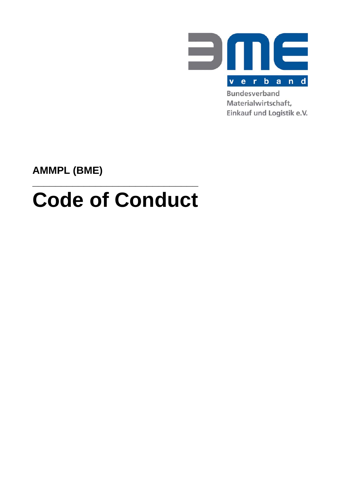

Materialwirtschaft, Einkauf und Logistik e.V.

**AMMPL (BME)** 

# **Code of Conduct**

**\_\_\_\_\_\_\_\_\_\_\_\_\_\_\_\_\_\_\_\_\_\_\_\_\_\_\_\_\_**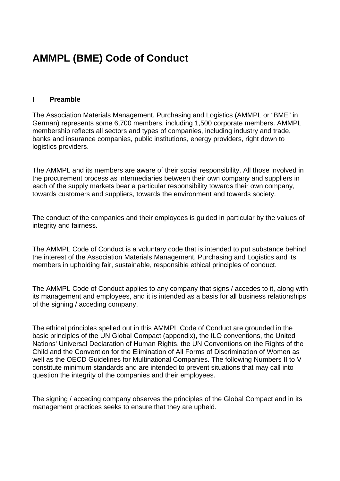# **AMMPL (BME) Code of Conduct**

#### **I Preamble**

The Association Materials Management, Purchasing and Logistics (AMMPL or "BME" in German) represents some 6,700 members, including 1,500 corporate members. AMMPL membership reflects all sectors and types of companies, including industry and trade, banks and insurance companies, public institutions, energy providers, right down to logistics providers.

The AMMPL and its members are aware of their social responsibility. All those involved in the procurement process as intermediaries between their own company and suppliers in each of the supply markets bear a particular responsibility towards their own company, towards customers and suppliers, towards the environment and towards society.

The conduct of the companies and their employees is guided in particular by the values of integrity and fairness.

The AMMPL Code of Conduct is a voluntary code that is intended to put substance behind the interest of the Association Materials Management, Purchasing and Logistics and its members in upholding fair, sustainable, responsible ethical principles of conduct.

The AMMPL Code of Conduct applies to any company that signs / accedes to it, along with its management and employees, and it is intended as a basis for all business relationships of the signing / acceding company.

The ethical principles spelled out in this AMMPL Code of Conduct are grounded in the basic principles of the UN Global Compact (appendix), the ILO conventions, the United Nations' Universal Declaration of Human Rights, the UN Conventions on the Rights of the Child and the Convention for the Elimination of All Forms of Discrimination of Women as well as the OECD Guidelines for Multinational Companies. The following Numbers II to V constitute minimum standards and are intended to prevent situations that may call into question the integrity of the companies and their employees.

The signing / acceding company observes the principles of the Global Compact and in its management practices seeks to ensure that they are upheld.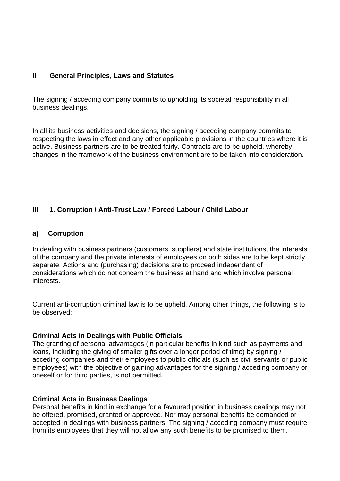#### **II General Principles, Laws and Statutes**

The signing / acceding company commits to upholding its societal responsibility in all business dealings.

In all its business activities and decisions, the signing / acceding company commits to respecting the laws in effect and any other applicable provisions in the countries where it is active. Business partners are to be treated fairly. Contracts are to be upheld, whereby changes in the framework of the business environment are to be taken into consideration.

#### **III 1. Corruption / Anti-Trust Law / Forced Labour / Child Labour**

#### **a) Corruption**

In dealing with business partners (customers, suppliers) and state institutions, the interests of the company and the private interests of employees on both sides are to be kept strictly separate. Actions and (purchasing) decisions are to proceed independent of considerations which do not concern the business at hand and which involve personal interests.

Current anti-corruption criminal law is to be upheld. Among other things, the following is to be observed:

#### **Criminal Acts in Dealings with Public Officials**

The granting of personal advantages (in particular benefits in kind such as payments and loans, including the giving of smaller gifts over a longer period of time) by signing / acceding companies and their employees to public officials (such as civil servants or public employees) with the objective of gaining advantages for the signing / acceding company or oneself or for third parties, is not permitted.

#### **Criminal Acts in Business Dealings**

Personal benefits in kind in exchange for a favoured position in business dealings may not be offered, promised, granted or approved. Nor may personal benefits be demanded or accepted in dealings with business partners. The signing / acceding company must require from its employees that they will not allow any such benefits to be promised to them.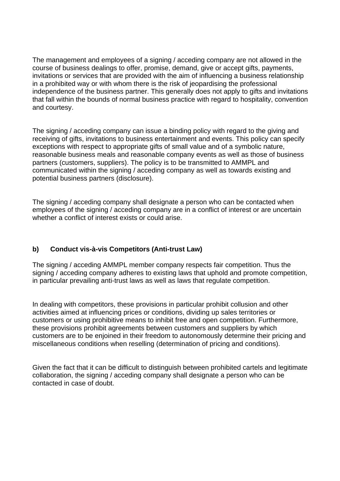The management and employees of a signing / acceding company are not allowed in the course of business dealings to offer, promise, demand, give or accept gifts, payments, invitations or services that are provided with the aim of influencing a business relationship in a prohibited way or with whom there is the risk of jeopardising the professional independence of the business partner. This generally does not apply to gifts and invitations that fall within the bounds of normal business practice with regard to hospitality, convention and courtesy.

The signing / acceding company can issue a binding policy with regard to the giving and receiving of gifts, invitations to business entertainment and events. This policy can specify exceptions with respect to appropriate gifts of small value and of a symbolic nature, reasonable business meals and reasonable company events as well as those of business partners (customers, suppliers). The policy is to be transmitted to AMMPL and communicated within the signing / acceding company as well as towards existing and potential business partners (disclosure).

The signing / acceding company shall designate a person who can be contacted when employees of the signing / acceding company are in a conflict of interest or are uncertain whether a conflict of interest exists or could arise.

# **b) Conduct vis-à-vis Competitors (Anti-trust Law)**

The signing / acceding AMMPL member company respects fair competition. Thus the signing / acceding company adheres to existing laws that uphold and promote competition, in particular prevailing anti-trust laws as well as laws that regulate competition.

In dealing with competitors, these provisions in particular prohibit collusion and other activities aimed at influencing prices or conditions, dividing up sales territories or customers or using prohibitive means to inhibit free and open competition. Furthermore, these provisions prohibit agreements between customers and suppliers by which customers are to be enjoined in their freedom to autonomously determine their pricing and miscellaneous conditions when reselling (determination of pricing and conditions).

Given the fact that it can be difficult to distinguish between prohibited cartels and legitimate collaboration, the signing / acceding company shall designate a person who can be contacted in case of doubt.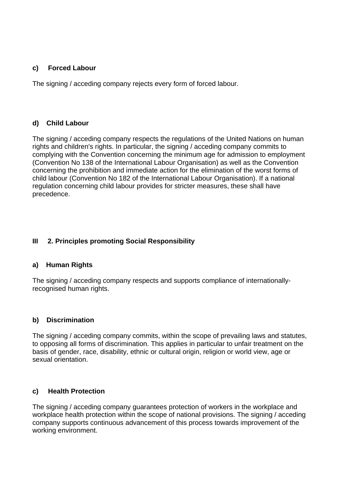#### **c) Forced Labour**

The signing / acceding company rejects every form of forced labour.

# **d) Child Labour**

The signing / acceding company respects the regulations of the United Nations on human rights and children's rights. In particular, the signing / acceding company commits to complying with the Convention concerning the minimum age for admission to employment (Convention No 138 of the International Labour Organisation) as well as the Convention concerning the prohibition and immediate action for the elimination of the worst forms of child labour (Convention No 182 of the International Labour Organisation). If a national regulation concerning child labour provides for stricter measures, these shall have precedence.

# **III 2. Principles promoting Social Responsibility**

# **a) Human Rights**

The signing / acceding company respects and supports compliance of internationallyrecognised human rights.

# **b) Discrimination**

The signing / acceding company commits, within the scope of prevailing laws and statutes, to opposing all forms of discrimination. This applies in particular to unfair treatment on the basis of gender, race, disability, ethnic or cultural origin, religion or world view, age or sexual orientation.

# **c) Health Protection**

The signing / acceding company guarantees protection of workers in the workplace and workplace health protection within the scope of national provisions. The signing / acceding company supports continuous advancement of this process towards improvement of the working environment.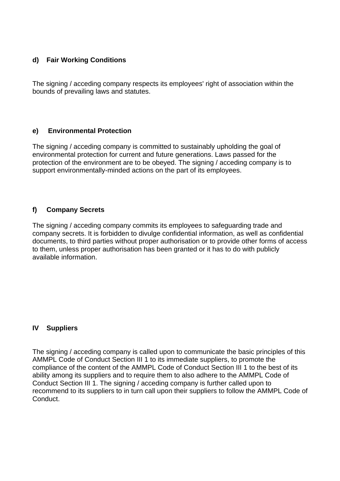# **d) Fair Working Conditions**

The signing / acceding company respects its employees' right of association within the bounds of prevailing laws and statutes.

# **e) Environmental Protection**

The signing / acceding company is committed to sustainably upholding the goal of environmental protection for current and future generations. Laws passed for the protection of the environment are to be obeyed. The signing / acceding company is to support environmentally-minded actions on the part of its employees.

# **f) Company Secrets**

The signing / acceding company commits its employees to safeguarding trade and company secrets. It is forbidden to divulge confidential information, as well as confidential documents, to third parties without proper authorisation or to provide other forms of access to them, unless proper authorisation has been granted or it has to do with publicly available information.

# **IV Suppliers**

The signing / acceding company is called upon to communicate the basic principles of this AMMPL Code of Conduct Section III 1 to its immediate suppliers, to promote the compliance of the content of the AMMPL Code of Conduct Section III 1 to the best of its ability among its suppliers and to require them to also adhere to the AMMPL Code of Conduct Section III 1. The signing / acceding company is further called upon to recommend to its suppliers to in turn call upon their suppliers to follow the AMMPL Code of Conduct.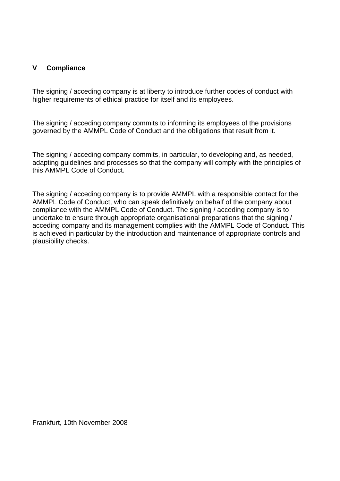#### **V Compliance**

The signing / acceding company is at liberty to introduce further codes of conduct with higher requirements of ethical practice for itself and its employees.

The signing / acceding company commits to informing its employees of the provisions governed by the AMMPL Code of Conduct and the obligations that result from it.

The signing / acceding company commits, in particular, to developing and, as needed, adapting guidelines and processes so that the company will comply with the principles of this AMMPL Code of Conduct.

The signing / acceding company is to provide AMMPL with a responsible contact for the AMMPL Code of Conduct, who can speak definitively on behalf of the company about compliance with the AMMPL Code of Conduct. The signing / acceding company is to undertake to ensure through appropriate organisational preparations that the signing / acceding company and its management complies with the AMMPL Code of Conduct. This is achieved in particular by the introduction and maintenance of appropriate controls and plausibility checks.

Frankfurt, 10th November 2008